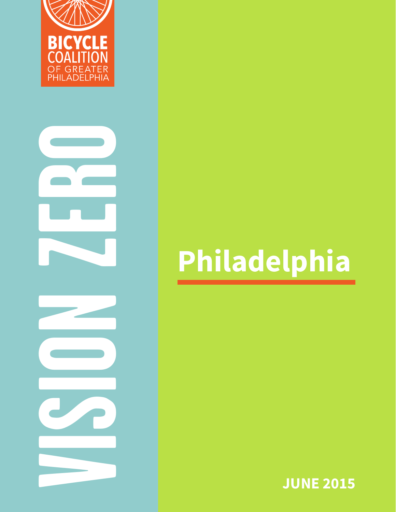

# **VISION 28 | Philadelphia Philadelphia Philadelphia Philadelphia**

**JUNE 2015**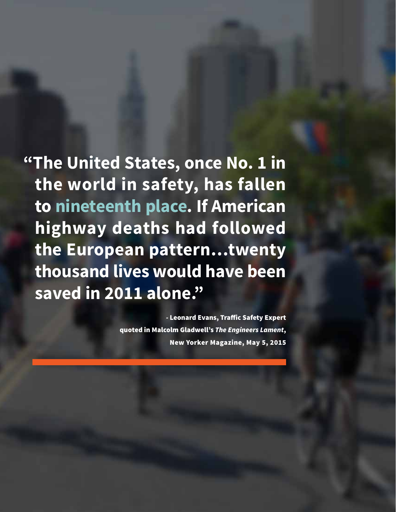**"The United States, once No. 1 in the world in safety, has fallen to nineteenth place. If American highway deaths had followed the European pattern…twenty thousand lives would have been saved in 2011 alone."** 

> *-* Leonard Evans, Traffic Safety Expert quoted in Malcolm Gladwell's *The Engineers Lament*, New Yorker Magazine, May 5, 2015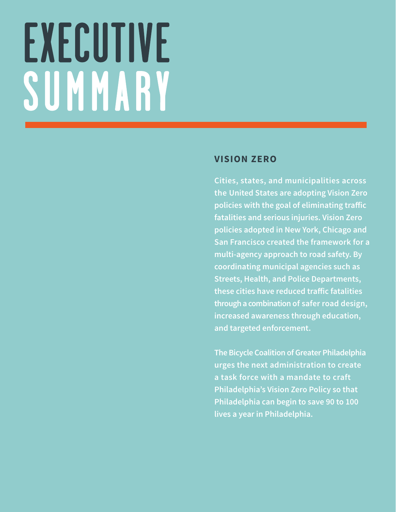# EXECUTIVE SUMMARY

#### **VISION ZERO**

**Cities, states, and municipalities across the United States are adopting Vision Zero policies with the goal of eliminating traffic fatalities and serious injuries. Vision Zero policies adopted in New York, Chicago and San Francisco created the framework for a multi-agency approach to road safety. By coordinating municipal agencies such as Streets, Health, and Police Departments, these cities have reduced traffic fatalities through a combination of safer road design, increased awareness through education, and targeted enforcement.**

**The Bicycle Coalition of Greater Philadelphia urges the next administration to create a task force with a mandate to craft Philadelphia's Vision Zero Policy so that Philadelphia can begin to save 90 to 100 lives a year in Philadelphia.**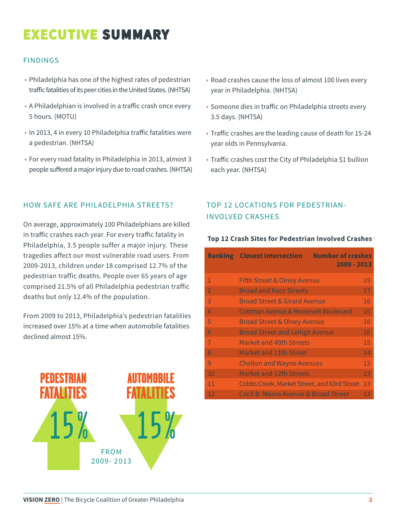# **EXECUTIVE SUMMARY**

#### FINDINGS

- Philadelphia has one of the highest rates of pedestrian traffic fatalities of its peer cities in the United States. (NHTSA)
- A Philadelphian is involved in a traffic crash once every 5 hours. (MOTU)
- In 2013, 4 in every 10 Philadelphia traffic fatalities were a pedestrian. (NHTSA)
- For every road fatality in Philadelphia in 2013, almost 3 people suffered a major injury due to road crashes. (NHTSA)

#### HOW SAFE ARE PHILADELPHIA STREETS?

On average, approximately 100 Philadelphians are killed in traffic crashes each year. For every traffic fatality in Philadelphia, 3.5 people suffer a major injury. These tragedies affect our most vulnerable road users. From 2009-2013, children under 18 comprised 12.7% of the pedestrian traffic deaths. People over 65 years of age comprised 21.5% of all Philadelphia pedestrian traffic deaths but only 12.4% of the population.

From 2009 to 2013, Philadelphia's pedestrian fatalities increased over 15% at a time when automobile fatalities declined almost 15%.



- Road crashes cause the loss of almost 100 lives every year in Philadelphia. (NHTSA)
- Someone dies in traffic on Philadelphia streets every 3.5 days. (NHTSA)
- Traffic crashes are the leading cause of death for 15-24 year olds in Pennsylvania.
- Traffic crashes cost the City of Philadelphia \$1 bullion each year. (NHTSA)

#### TOP 12 LOCATIONS FOR PEDESTRIAN-INVOLVED CRASHES

#### *.* **Top 12 Crash Sites for Pedestrian Involved Crashes**

|                | <b>Number of crashes</b><br><b>Ranking Closest Intersection</b><br>2009 - 2013 |    |
|----------------|--------------------------------------------------------------------------------|----|
| 1              | <b>Fifth Street &amp; Olney Avenue</b>                                         | 19 |
| $\overline{2}$ | <b>Broad and Race Streets</b>                                                  | 17 |
| 3              | <b>Broad Street &amp; Girard Avenue</b>                                        | 16 |
| 4              | Cottman Avenue & Roosevelt Boulevard                                           | 16 |
| 5              | <b>Broad Street &amp; Olney Avenue</b>                                         | 16 |
| 6              | <b>Broad Street and Lehigh Avenue</b>                                          | 16 |
| 7              | <b>Market and 40th Streets</b>                                                 | 15 |
| $\mathsf{R}$   | Market and 11th Street                                                         | 14 |
| 9              | <b>Chelten and Wayne Avenues</b>                                               | 13 |
| 10             | <b>Market and 12th Streets</b>                                                 | 13 |
| 11             | Cobbs Creek, Market Street, and 63rd Street                                    | 13 |
| 12             | Cecil B. Moore Avenue & Broad Street                                           | 13 |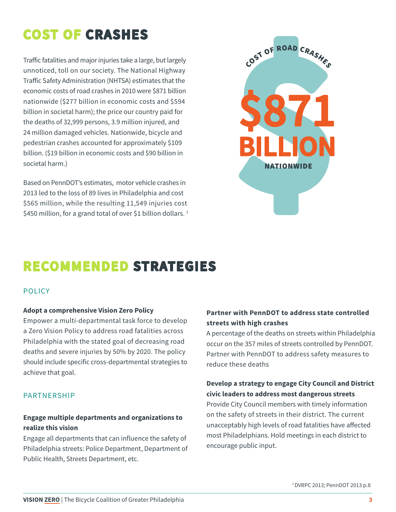# **COST OF CRASHES**

Traffic fatalities and major injuries take a large, but largely unnoticed, toll on our society. The National Highway Traffic Safety Administration (NHTSA) estimates that the economic costs of road crashes in 2010 were \$871 billion nationwide (\$277 billion in economic costs and \$594 billion in societal harm); the price our country paid for the deaths of 32,999 persons, 3.9 million injured, and 24 million damaged vehicles. Nationwide, bicycle and pedestrian crashes accounted for approximately \$109 billion. (\$19 billion in economic costs and \$90 billion in societal harm.)

Based on PennDOT's estimates, motor vehicle crashes in 2013 led to the loss of 89 lives in Philadelphia and cost \$565 million, while the resulting 11,549 injuries cost \$450 million, for a grand total of over \$1 billion dollars.<sup>1</sup>



# **RECOMMENDED STRATEGIES**

#### **POLICY**

#### **Adopt a comprehensive Vision Zero Policy**

Empower a multi-departmental task force to develop a Zero Vision Policy to address road fatalities across Philadelphia with the stated goal of decreasing road deaths and severe injuries by 50% by 2020. The policy should include specific cross-departmental strategies to achieve that goal.

#### PARTNERSHIP

#### **Engage multiple departments and organizations to realize this vision**

Engage all departments that can influence the safety of Philadelphia streets: Police Department, Department of Public Health, Streets Department, etc.

#### **Partner with PennDOT to address state controlled streets with high crashes**

A percentage of the deaths on streets within Philadelphia occur on the 357 miles of streets controlled by PennDOT. Partner with PennDOT to address safety measures to reduce these deaths

#### **Develop a strategy to engage City Council and District civic leaders to address most dangerous streets**

Provide City Council members with timely information on the safety of streets in their district. The current unacceptably high levels of road fatalities have affected most Philadelphians. Hold meetings in each district to encourage public input.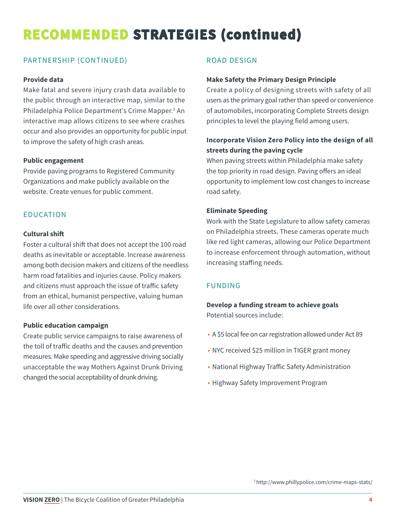# **RECOMMENDED STRATEGIES (continued)**

#### PARTNERSHIP (CONTINUED)

#### **Provide data**

Make fatal and severe injury crash data available to the public through an interactive map, similar to the Philadelphia Police Department's Crime Mapper.<sup>2</sup> An interactive map allows citizens to see where crashes occur and also provides an opportunity for public input to improve the safety of high crash areas.

#### **Public engagement**

Provide paving programs to Registered Community Organizations and make publicly available on the website. Create venues for public comment.

#### EDUCATION

#### **Cultural shift**

Foster a cultural shift that does not accept the 100 road deaths as inevitable or acceptable. Increase awareness among both decision makers and citizens of the needless harm road fatalities and injuries cause. Policy makers and citizens must approach the issue of traffic safety from an ethical, humanist perspective, valuing human life over all other considerations.

#### **Public education campaign**

Create public service campaigns to raise awareness of the toll of traffic deaths and the causes and prevention measures. Make speeding and aggressive driving socially unacceptable the way Mothers Against Drunk Driving changed the social acceptability of drunk driving.

#### ROAD DESIGN

#### **Make Safety the Primary Design Principle**

Create a policy of designing streets with safety of all users as the primary goal rather than speed or convenience of automobiles, incorporating Complete Streets design principles to level the playing field among users.

#### **Incorporate Vision Zero Policy into the design of all streets during the paving cycle**

When paving streets within Philadelphia make safety the top priority in road design. Paving offers an ideal opportunity to implement low cost changes to increase road safety.

#### **Eliminate Speeding**

Work with the State Legislature to allow safety cameras on Philadelphia streets. These cameras operate much like red light cameras, allowing our Police Department to increase enforcement through automation, without increasing staffing needs.

#### FUNDING

**Develop a funding stream to achieve goals** Potential sources include:

- A \$5 local fee on car registration allowed under Act 89
- NYC received \$25 million in TIGER grant money
- National Highway Traffic Safety Administration
- Highway Safety Improvement Program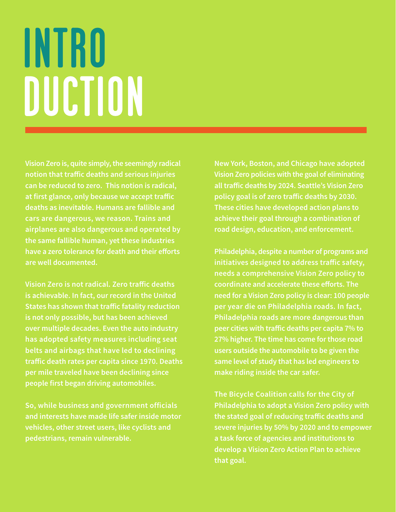# INTRO DUCTION

**Vision Zero is, quite simply, the seemingly radical notion that traffic deaths and serious injuries can be reduced to zero. This notion is radical, at first glance, only because we accept traffic deaths as inevitable. Humans are fallible and cars are dangerous, we reason. Trains and airplanes are also dangerous and operated by the same fallible human, yet these industries have a zero tolerance for death and their efforts are well documented.** 

**Vision Zero is not radical. Zero traffic deaths is achievable. In fact, our record in the United States has shown that traffic fatality reduction is not only possible, but has been achieved over multiple decades. Even the auto industry has adopted safety measures including seat belts and airbags that have led to declining traffic death rates per capita since 1970. Deaths per mile traveled have been declining since people first began driving automobiles.** 

**So, while business and government officials and interests have made life safer inside motor vehicles, other street users, like cyclists and pedestrians, remain vulnerable.**

**New York, Boston, and Chicago have adopted Vision Zero policies with the goal of eliminating all traffic deaths by 2024. Seattle's Vision Zero policy goal is of zero traffic deaths by 2030. These cities have developed action plans to achieve their goal through a combination of road design, education, and enforcement.** 

**Philadelphia, despite a number of programs and initiatives designed to address traffic safety, needs a comprehensive Vision Zero policy to coordinate and accelerate these efforts. The need for a Vision Zero policy is clear: 100 people per year die on Philadelphia roads. In fact, Philadelphia roads are more dangerous than peer cities with traffic deaths per capita 7% to 27% higher. The time has come for those road users outside the automobile to be given the same level of study that has led engineers to make riding inside the car safer.**

**The Bicycle Coalition calls for the City of Philadelphia to adopt a Vision Zero policy with the stated goal of reducing traffic deaths and severe injuries by 50% by 2020 and to empower a task force of agencies and institutions to develop a Vision Zero Action Plan to achieve that goal.**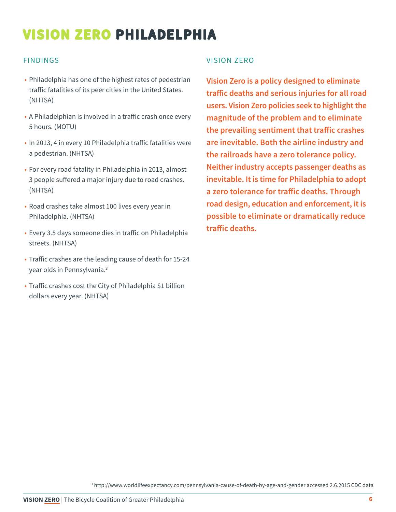#### FINDINGS

- Philadelphia has one of the highest rates of pedestrian traffic fatalities of its peer cities in the United States. (NHTSA)
- A Philadelphian is involved in a traffic crash once every 5 hours. (MOTU)
- In 2013, 4 in every 10 Philadelphia traffic fatalities were a pedestrian. (NHTSA)
- For every road fatality in Philadelphia in 2013, almost 3 people suffered a major injury due to road crashes. (NHTSA)
- Road crashes take almost 100 lives every year in Philadelphia. (NHTSA)
- Every 3.5 days someone dies in traffic on Philadelphia streets. (NHTSA)
- Traffic crashes are the leading cause of death for 15-24 year olds in Pennsylvania.3
- Traffic crashes cost the City of Philadelphia \$1 billion dollars every year. (NHTSA)

#### VISION ZERO

**Vision Zero is a policy designed to eliminate traffic deaths and serious injuries for all road users. Vision Zero policies seek to highlight the magnitude of the problem and to eliminate the prevailing sentiment that traffic crashes are inevitable. Both the airline industry and the railroads have a zero tolerance policy. Neither industry accepts passenger deaths as inevitable. It is time for Philadelphia to adopt a zero tolerance for traffic deaths. Through road design, education and enforcement, it is possible to eliminate or dramatically reduce traffic deaths.**

3 http://www.worldlifeexpectancy.com/pennsylvania-cause-of-death-by-age-and-gender accessed 2.6.2015 CDC data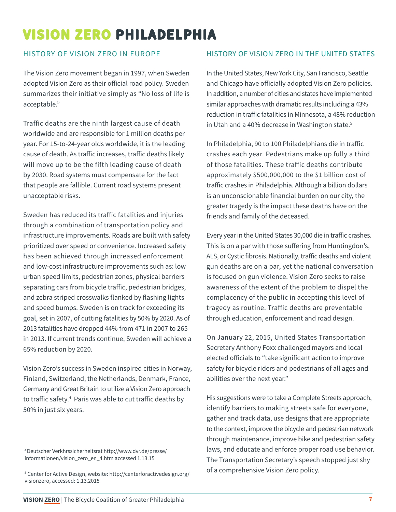#### HISTORY OF VISION ZERO IN EUROPE

The Vision Zero movement began in 1997, when Sweden adopted Vision Zero as their official road policy. Sweden summarizes their initiative simply as "No loss of life is acceptable."

Traffic deaths are the ninth largest cause of death worldwide and are responsible for 1 million deaths per year. For 15-to-24-year olds worldwide, it is the leading cause of death. As traffic increases, traffic deaths likely will move up to be the fifth leading cause of death by 2030. Road systems must compensate for the fact that people are fallible. Current road systems present unacceptable risks.

Sweden has reduced its traffic fatalities and injuries through a combination of transportation policy and infrastructure improvements. Roads are built with safety prioritized over speed or convenience. Increased safety has been achieved through increased enforcement and low-cost infrastructure improvements such as: low urban speed limits, pedestrian zones, physical barriers separating cars from bicycle traffic, pedestrian bridges, and zebra striped crosswalks flanked by flashing lights and speed bumps. Sweden is on track for exceeding its goal, set in 2007, of cutting fatalities by 50% by 2020. As of 2013 fatalities have dropped 44% from 471 in 2007 to 265 in 2013. If current trends continue, Sweden will achieve a 65% reduction by 2020.

Vision Zero's success in Sweden inspired cities in Norway, Finland, Switzerland, the Netherlands, Denmark, France, Germany and Great Britain to utilize a Vision Zero approach to traffic safety.4 Paris was able to cut traffic deaths by 50% in just six years.

#### HISTORY OF VISION ZERO IN THE UNITED STATES

In the United States, New York City, San Francisco, Seattle and Chicago have officially adopted Vision Zero policies. In addition, a number of cities and states have implemented similar approaches with dramatic results including a 43% reduction in traffic fatalities in Minnesota, a 48% reduction in Utah and a 40% decrease in Washington state.<sup>5</sup>

In Philadelphia, 90 to 100 Philadelphians die in traffic crashes each year. Pedestrians make up fully a third of those fatalities. These traffic deaths contribute approximately \$500,000,000 to the \$1 billion cost of traffic crashes in Philadelphia. Although a billion dollars is an unconscionable financial burden on our city, the greater tragedy is the impact these deaths have on the friends and family of the deceased.

Every year in the United States 30,000 die in traffic crashes. This is on a par with those suffering from Huntingdon's, ALS, or Cystic fibrosis. Nationally, traffic deaths and violent gun deaths are on a par, yet the national conversation is focused on gun violence. Vision Zero seeks to raise awareness of the extent of the problem to dispel the complacency of the public in accepting this level of tragedy as routine. Traffic deaths are preventable through education, enforcement and road design.

On January 22, 2015, United States Transportation Secretary Anthony Foxx challenged mayors and local elected officials to "take significant action to improve safety for bicycle riders and pedestrians of all ages and abilities over the next year."

His suggestions were to take a Complete Streets approach, identify barriers to making streets safe for everyone, gather and track data, use designs that are appropriate to the context, improve the bicycle and pedestrian network through maintenance, improve bike and pedestrian safety laws, and educate and enforce proper road use behavior. The Transportation Secretary's speech stopped just shy of a comprehensive Vision Zero policy.

<sup>4</sup> Deutscher Verkhrssicherheitsrat http://www.dvr.de/presse/ informationen/vision\_zero\_en\_4.htm accessed 1.13.15

<sup>5</sup> Center for Active Design, website: http://centerforactivedesign.org/ visionzero, accessed: 1.13.2015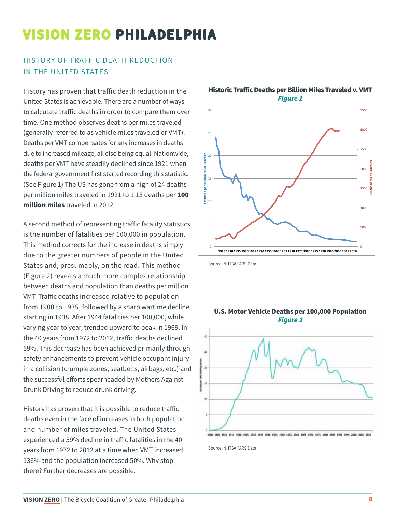#### HISTORY OF TRAFFIC DEATH REDUCTION IN THE UNITED STATES

History has proven that traffic death reduction in the United States is achievable. There are a number of ways to calculate traffic deaths in order to compare them over time. One method observes deaths per miles traveled (generally referred to as vehicle miles traveled or VMT). Deaths per VMT compensates for any increases in deaths due to increased mileage, all else being equal. Nationwide, deaths per VMT have steadily declined since 1921 when the federal government first started recording this statistic. (See Figure 1) The US has gone from a high of 24 deaths per million miles traveled in 1921 to 1.13 deaths per 100 million miles traveled in 2012.

A second method of representing traffic fatality statistics is the number of fatalities per 100,000 in population. This method corrects for the increase in deaths simply due to the greater numbers of people in the United States and, presumably, on the road. This method (Figure 2) reveals a much more complex relationship between deaths and population than deaths per million VMT. Traffic deaths increased relative to population from 1900 to 1935, followed by a sharp wartime decline starting in 1938. After 1944 fatalities per 100,000, while varying year to year, trended upward to peak in 1969. In the 40 years from 1972 to 2012, traffic deaths declined 59%. This decrease has been achieved primarily through safety enhancements to prevent vehicle occupant injury in a collision (crumple zones, seatbelts, airbags, etc.) and the successful efforts spearheaded by Mothers Against Drunk Driving to reduce drunk driving.

History has proven that it is possible to reduce traffic deaths even in the face of increases in both population and number of miles traveled. The United States experienced a 59% decline in traffic fatalities in the 40 years from 1972 to 2012 at a time when VMT increased 136% and the population increased 50%. Why stop there? Further decreases are possible.



Historic Traffic Deaths per Billion Miles Traveled v. VMT *Figure 1*

Source: NHTSA FARS Data



U.S. Motor Vehicle Deaths per 100,000 Population *Figure 2*

Source: NHTSA FARS Data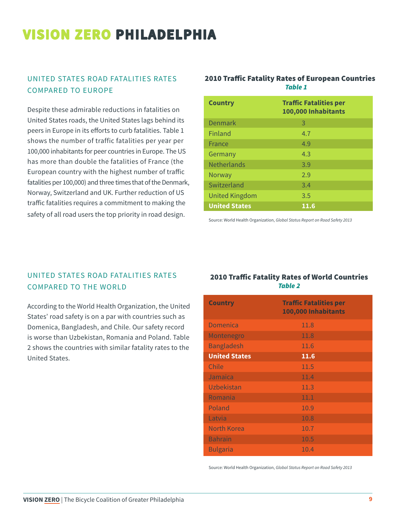#### UNITED STATES ROAD FATALITIES RATES COMPARED TO EUROPE

Despite these admirable reductions in fatalities on United States roads, the United States lags behind its peers in Europe in its efforts to curb fatalities. Table 1 shows the number of traffic fatalities per year per 100,000 inhabitants for peer countries in Europe. The US has more than double the fatalities of France (the European country with the highest number of traffic fatalities per 100,000) and three times that of the Denmark, Norway, Switzerland and UK. Further reduction of US traffic fatalities requires a commitment to making the safety of all road users the top priority in road design.

#### 2010 Traffic Fatality Rates of European Countries *Table 1*

| <b>Country</b>        | <b>Traffic Fatalities per</b><br>100,000 Inhabitants |
|-----------------------|------------------------------------------------------|
| <b>Denmark</b>        | 3                                                    |
| Finland               | 4.7                                                  |
| France                | 4.9                                                  |
| Germany               | 4.3                                                  |
| <b>Netherlands</b>    | 3.9                                                  |
| Norway                | 2.9                                                  |
| Switzerland           | 3.4                                                  |
| <b>United Kingdom</b> | 3.5                                                  |
| <b>United States</b>  | 11.6                                                 |

Source: World Health Organization, *Global Status Report on Road Safety 2013*

#### UNITED STATES ROAD FATALITIES RATES COMPARED TO THE WORLD

According to the World Health Organization, the United States' road safety is on a par with countries such as Domenica, Bangladesh, and Chile. Our safety record is worse than Uzbekistan, Romania and Poland. Table 2 shows the countries with similar fatality rates to the United States.

#### 2010 Traffic Fatality Rates of World Countries *Table 2*

| <b>Country</b>       | <b>Traffic Fatalities per</b><br>100,000 Inhabitants |
|----------------------|------------------------------------------------------|
| <b>Domenica</b>      | 11.8                                                 |
| Montenegro           | 11.8                                                 |
| <b>Bangladesh</b>    | 11.6                                                 |
| <b>United States</b> | 11.6                                                 |
| Chile                | 11.5                                                 |
| Jamaica              | 11.4                                                 |
| Uzbekistan           | 11.3                                                 |
| Romania              | 11.1                                                 |
| Poland               | 10.9                                                 |
| Latvia               | 10.8                                                 |
| North Korea          | 10.7                                                 |
| <b>Bahrain</b>       | 10.5                                                 |
| <b>Bulgaria</b>      | 10.4                                                 |

Source: World Health Organization, *Global Status Report on Road Safety 2013*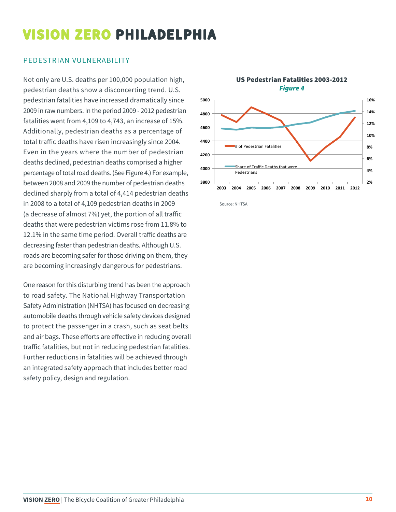#### PEDESTRIAN VULNERABILITY

Not only are U.S. deaths per 100,000 population high, pedestrian deaths show a disconcerting trend. U.S. pedestrian fatalities have increased dramatically since 2009 in raw numbers. In the period 2009 - 2012 pedestrian fatalities went from 4,109 to 4,743, an increase of 15%. Additionally, pedestrian deaths as a percentage of total traffic deaths have risen increasingly since 2004. Even in the years where the number of pedestrian deaths declined, pedestrian deaths comprised a higher percentage of total road deaths. (See Figure 4.) For example, between 2008 and 2009 the number of pedestrian deaths declined sharply from a total of 4,414 pedestrian deaths in 2008 to a total of 4,109 pedestrian deaths in 2009 (a decrease of almost 7%) yet, the portion of all traffic deaths that were pedestrian victims rose from 11.8% to 12.1% in the same time period. Overall traffic deaths are decreasing faster than pedestrian deaths. Although U.S. roads are becoming safer for those driving on them, they are becoming increasingly dangerous for pedestrians.

One reason for this disturbing trend has been the approach to road safety. The National Highway Transportation Safety Administration (NHTSA) has focused on decreasing automobile deaths through vehicle safety devices designed to protect the passenger in a crash, such as seat belts and air bags. These efforts are effective in reducing overall traffic fatalities, but not in reducing pedestrian fatalities. Further reductions in fatalities will be achieved through an integrated safety approach that includes better road safety policy, design and regulation.



Source: NHTSA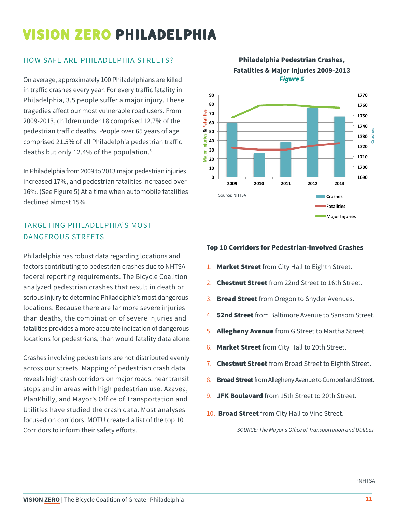#### HOW SAFE ARE PHILADELPHIA STREETS?

On average, approximately 100 Philadelphians are killed in traffic crashes every year. For every traffic fatality in Philadelphia, 3.5 people suffer a major injury. These tragedies affect our most vulnerable road users. From 2009-2013, children under 18 comprised 12.7% of the pedestrian traffic deaths. People over 65 years of age comprised 21.5% of all Philadelphia pedestrian traffic deaths but only 12.4% of the population.<sup>6</sup>

In Philadelphia from 2009 to 2013 major pedestrian injuries increased 17%, and pedestrian fatalities increased over 16%. (See Figure 5) At a time when automobile fatalities declined almost 15%. iti<br>u<sup>:</sup><br>M

#### TARGETING PHILADELPHIA'S MOST **20** DANGEROUS STREETS

Philadelphia has robust data regarding locations and factors contributing to pedestrian crashes due to NHTSA federal reporting requirements. The Bicycle Coalition analyzed pedestrian crashes that result in death or serious injury to determine Philadelphia's most dangerous locations. Because there are far more severe injuries than deaths, the combination of severe injuries and fatalities provides a more accurate indication of dangerous locations for pedestrians, than would fatality data alone.

Crashes involving pedestrians are not distributed evenly across our streets. Mapping of pedestrian crash data reveals high crash corridors on major roads, near transit stops and in areas with high pedestrian use. Azavea, PlanPhilly, and Mayor's Office of Transportation and Utilities have studied the crash data. Most analyses focused on corridors. MOTU created a list of the top 10 Corridors to inform their safety efforts.





#### Top 10 Corridors for Pedestrian-Involved Crashes **2009 
 2010 
 2011 
 2012 
 2013**

- 1. Market Street from City Hall to Eighth Street.
- 2. **Chestnut Street** from 22nd Street to 16th Street.
- 3. Broad Street from Oregon to Snyder Avenues.
- 4. **52nd Street** from Baltimore Avenue to Sansom Street.
- 5. Allegheny Avenue from G Street to Martha Street.
- **6. Market Street** from City Hall to 20th Street.
- 7. Chestnut Street from Broad Street to Eighth Street.
- 8. Broad Street from Allegheny Avenue to Cumberland Street.
- 9. JFK Boulevard from 15th Street to 20th Street.
- 10. Broad Street from City Hall to Vine Street.

*SOURCE: The Mayor's Office of Transportation and Utilities.*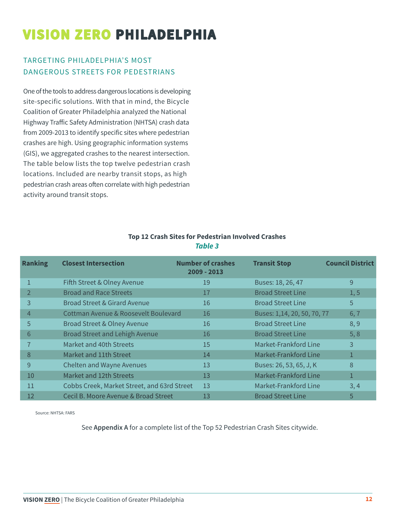#### TARGETING PHILADELPHIA'S MOST DANGEROUS STREETS FOR PEDESTRIANS

One of the tools to address dangerous locations is developing site-specific solutions. With that in mind, the Bicycle Coalition of Greater Philadelphia analyzed the National Highway Traffic Safety Administration (NHTSA) crash data from 2009-2013 to identify specific sites where pedestrian crashes are high. Using geographic information systems (GIS), we aggregated crashes to the nearest intersection. The table below lists the top twelve pedestrian crash locations. Included are nearby transit stops, as high pedestrian crash areas often correlate with high pedestrian activity around transit stops.

| <b>Ranking</b> | <b>Closest Intersection</b>                 | <b>Number of crashes</b><br>2009 - 2013 | <b>Transit Stop</b>         | <b>Council District</b> |
|----------------|---------------------------------------------|-----------------------------------------|-----------------------------|-------------------------|
|                | Fifth Street & Olney Avenue                 | 19                                      | Buses: 18, 26, 47           | 9                       |
|                | <b>Broad and Race Streets</b>               | 17                                      | <b>Broad Street Line</b>    | 1, 5                    |
| 3              | <b>Broad Street &amp; Girard Avenue</b>     | 16                                      | <b>Broad Street Line</b>    | 5                       |
| 4              | Cottman Avenue & Roosevelt Boulevard        | 16                                      | Buses: 1,14, 20, 50, 70, 77 | 6, 7                    |
| 5              | <b>Broad Street &amp; Olney Avenue</b>      | 16                                      | <b>Broad Street Line</b>    | 8,9                     |
| 6              | <b>Broad Street and Lehigh Avenue</b>       | 16                                      | <b>Broad Street Line</b>    | 5, 8                    |
| $\overline{7}$ | Market and 40th Streets                     | 15                                      | Market-Frankford Line       | 3                       |
| 8              | Market and 11th Street                      | 14                                      | Market-Frankford Line       |                         |
| 9              | <b>Chelten and Wayne Avenues</b>            | 13                                      | Buses: 26, 53, 65, J, K     | 8                       |
| 10             | Market and 12th Streets                     | 13                                      | Market-Frankford Line       | $\mathbf{1}$            |
| 11             | Cobbs Creek, Market Street, and 63rd Street | 13                                      | Market-Frankford Line       | 3, 4                    |
| 12             | Cecil B. Moore Avenue & Broad Street        | 13                                      | <b>Broad Street Line</b>    | 5                       |

#### **Top 12 Crash Sites for Pedestrian Involved Crashes** *Table 3*

Source: NHTSA: FARS

See **Appendix A** for a complete list of the Top 52 Pedestrian Crash Sites citywide.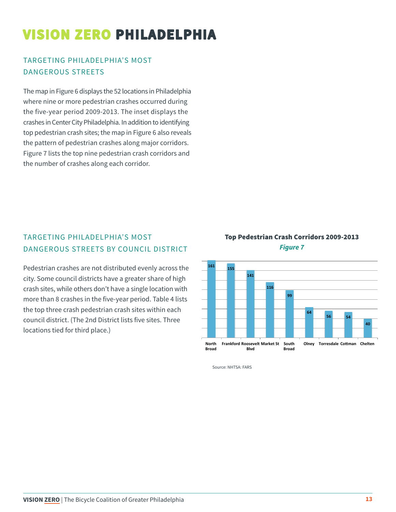#### TARGETING PHILADELPHIA'S MOST DANGEROUS STREETS

The map in Figure 6 displays the 52 locations in Philadelphia where nine or more pedestrian crashes occurred during the five-year period 2009-2013. The inset displays the crashes in Center City Philadelphia. In addition to identifying top pedestrian crash sites; the map in Figure 6 also reveals the pattern of pedestrian crashes along major corridors. Figure 7 lists the top nine pedestrian crash corridors and the number of crashes along each corridor.

#### TARGETING PHILADELPHIA'S MOST DANGEROUS STREETS BY COUNCIL DISTRICT

Pedestrian crashes are not distributed evenly across the city. Some council districts have a greater share of high crash sites, while others don't have a single location with more than 8 crashes in the five-year period. Table 4 lists the top three crash pedestrian crash sites within each council district. (The 2nd District lists five sites. Three locations tied for third place.)





Source: NHTSA: FARS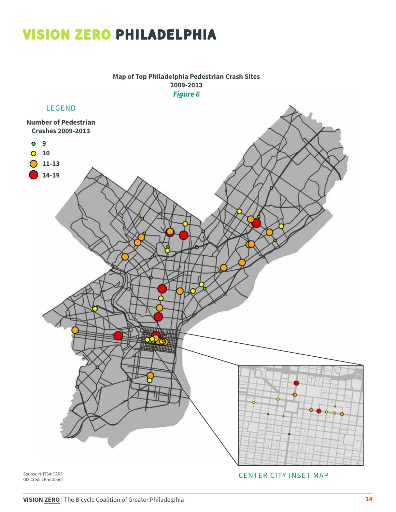**Map of Top Philadelphia Pedestrian Crash Sites 2009-2013** *Figure 6*



GIS Credit: Eric Jones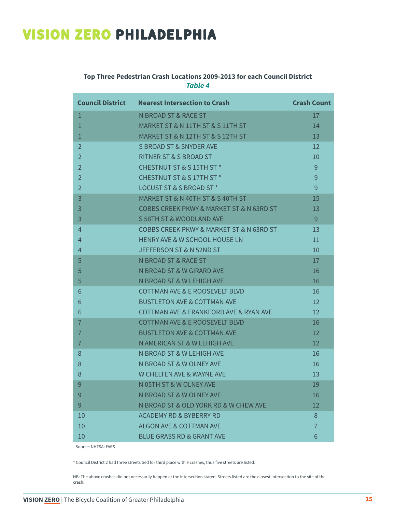#### **Top Three Pedestrian Crash Locations 2009-2013 for each Council District** *Table 4*

| <b>Council District</b> | <b>Nearest Intersection to Crash</b>      | <b>Crash Count</b> |
|-------------------------|-------------------------------------------|--------------------|
| $\mathbf{1}$            | N BROAD ST & RACE ST                      | 17                 |
| $\mathbf{1}$            | MARKET ST & N 11TH ST & S 11TH ST         | 14                 |
| $\mathbf{1}$            | MARKET ST & N 12TH ST & S 12TH ST         | 13                 |
| $\overline{2}$          | S BROAD ST & SNYDER AVE                   | $12 \overline{ }$  |
| $\overline{2}$          | RITNER ST & S BROAD ST                    | 10                 |
| $\overline{2}$          | CHESTNUT ST & S 15TH ST *                 | 9                  |
| $\overline{2}$          | CHESTNUT ST & S 17TH ST *                 | 9                  |
| $\overline{2}$          | LOCUST ST & S BROAD ST *                  | 9                  |
| 3                       | MARKET ST & N 40TH ST & S 40TH ST         | 15                 |
| 3                       | COBBS CREEK PKWY & MARKET ST & N 63RD ST  | 13                 |
| 3                       | S 58TH ST & WOODLAND AVE                  | 9                  |
| $\overline{4}$          | COBBS CREEK PKWY & MARKET ST & N 63RD ST  | 13                 |
| $\overline{4}$          | HENRY AVE & W SCHOOL HOUSE LN             | 11                 |
| $\overline{4}$          | JEFFERSON ST & N 52ND ST                  | 10                 |
| 5                       | N BROAD ST & RACE ST                      | 17                 |
| 5                       | N BROAD ST & W GIRARD AVE                 | 16                 |
| 5                       | N BROAD ST & W LEHIGH AVE                 | 16                 |
| 6                       | <b>COTTMAN AVE &amp; E ROOSEVELT BLVD</b> | 16                 |
| 6                       | <b>BUSTLETON AVE &amp; COTTMAN AVE</b>    | 12                 |
| 6                       | COTTMAN AVE & FRANKFORD AVE & RYAN AVE    | 12                 |
| $\overline{7}$          | <b>COTTMAN AVE &amp; E ROOSEVELT BLVD</b> | 16                 |
| $\overline{7}$          | <b>BUSTLETON AVE &amp; COTTMAN AVE</b>    | 12                 |
| $\overline{7}$          | N AMERICAN ST & W LEHIGH AVE              | 12                 |
| 8                       | N BROAD ST & W LEHIGH AVE                 | 16                 |
| 8                       | N BROAD ST & W OLNEY AVE                  | 16                 |
| 8                       | <b>W CHELTEN AVE &amp; WAYNE AVE</b>      | 13                 |
| 9                       | N 05TH ST & W OLNEY AVE                   | 19                 |
| 9                       | N BROAD ST & W OLNEY AVE                  | 16                 |
| 9                       | N BROAD ST & OLD YORK RD & W CHEW AVE     | 12                 |
| 10                      | <b>ACADEMY RD &amp; BYBERRY RD</b>        | 8                  |
| 10                      | <b>ALGON AVE &amp; COTTMAN AVE</b>        | $\overline{7}$     |
| 10                      | <b>BLUE GRASS RD &amp; GRANT AVE</b>      | 6                  |

Source: NHTSA: FARS

\* Council District 2 had three streets tied for third place with 9 crashes, thus five streets are listed.

NB: The above crashes did not necessarily happen at the intersection stated. Streets listed are the closest intersection to the site of the crash.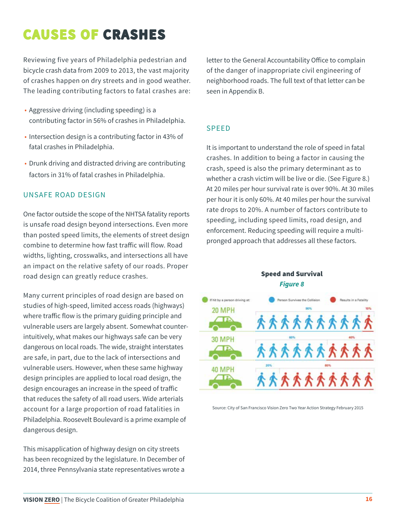# **CAUSES OF CRASHES**

Reviewing five years of Philadelphia pedestrian and bicycle crash data from 2009 to 2013, the vast majority of crashes happen on dry streets and in good weather. The leading contributing factors to fatal crashes are:

- Aggressive driving (including speeding) is a contributing factor in 56% of crashes in Philadelphia.
- Intersection design is a contributing factor in 43% of fatal crashes in Philadelphia.
- Drunk driving and distracted driving are contributing factors in 31% of fatal crashes in Philadelphia.

#### UNSAFE ROAD DESIGN

One factor outside the scope of the NHTSA fatality reports is unsafe road design beyond intersections. Even more than posted speed limits, the elements of street design combine to determine how fast traffic will flow. Road widths, lighting, crosswalks, and intersections all have an impact on the relative safety of our roads. Proper road design can greatly reduce crashes.

Many current principles of road design are based on studies of high-speed, limited access roads (highways) where traffic flow is the primary guiding principle and vulnerable users are largely absent. Somewhat counterintuitively, what makes our highways safe can be very dangerous on local roads. The wide, straight interstates are safe, in part, due to the lack of intersections and vulnerable users. However, when these same highway design principles are applied to local road design, the design encourages an increase in the speed of traffic that reduces the safety of all road users. Wide arterials account for a large proportion of road fatalities in Philadelphia. Roosevelt Boulevard is a prime example of dangerous design.

This misapplication of highway design on city streets has been recognized by the legislature. In December of 2014, three Pennsylvania state representatives wrote a

letter to the General Accountability Office to complain of the danger of inappropriate civil engineering of neighborhood roads. The full text of that letter can be seen in Appendix B.

#### SPEED

It is important to understand the role of speed in fatal crashes. In addition to being a factor in causing the crash, speed is also the primary determinant as to whether a crash victim will be live or die. (See Figure 8.) At 20 miles per hour survival rate is over 90%. At 30 miles per hour it is only 60%. At 40 miles per hour the survival rate drops to 20%. A number of factors contribute to speeding, including speed limits, road design, and enforcement. Reducing speeding will require a multipronged approach that addresses all these factors.

#### Speed and Survival *Figure 8*



Source: City of San Francisco Vision Zero Two Year Action Strategy February 2015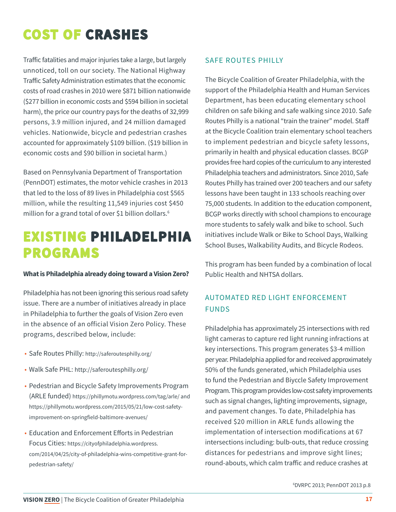# **COST OF CRASHES**

Traffic fatalities and major injuries take a large, but largely unnoticed, toll on our society. The National Highway Traffic Safety Administration estimates that the economic costs of road crashes in 2010 were \$871 billion nationwide (\$277 billion in economic costs and \$594 billion in societal harm), the price our country pays for the deaths of 32,999 persons, 3.9 million injured, and 24 million damaged vehicles. Nationwide, bicycle and pedestrian crashes accounted for approximately \$109 billion. (\$19 billion in economic costs and \$90 billion in societal harm.)

Based on Pennsylvania Department of Transportation (PennDOT) estimates, the motor vehicle crashes in 2013 that led to the loss of 89 lives in Philadelphia cost \$565 million, while the resulting 11,549 injuries cost \$450 million for a grand total of over \$1 billion dollars.<sup>6</sup>

## **EXISTING PHILADELPHIA PROGRAMS**

#### **What is Philadelphia already doing toward a Vision Zero?**

Philadelphia has not been ignoring this serious road safety issue. There are a number of initiatives already in place in Philadelphia to further the goals of Vision Zero even in the absence of an official Vision Zero Policy. These programs, described below, include:

- Safe Routes Philly: http://saferoutesphilly.org/
- Walk Safe PHL: http://saferoutesphilly.org/
- Pedestrian and Bicycle Safety Improvements Program (ARLE funded) https://phillymotu.wordpress.com/tag/arle/ and https://phillymotu.wordpress.com/2015/05/21/low-cost-safetyimprovement-on-springfield-baltimore-avenues/
- Education and Enforcement Efforts in Pedestrian Focus Cities: https://cityofphiladelphia.wordpress. com/2014/04/25/city-of-philadelphia-wins-competitive-grant-forpedestrian-safety/

#### SAFE ROUTES PHILLY

The Bicycle Coalition of Greater Philadelphia, with the support of the Philadelphia Health and Human Services Department, has been educating elementary school children on safe biking and safe walking since 2010. Safe Routes Philly is a national "train the trainer" model. Staff at the Bicycle Coalition train elementary school teachers to implement pedestrian and bicycle safety lessons, primarily in health and physical education classes. BCGP provides free hard copies of the curriculum to any interested Philadelphia teachers and administrators. Since 2010, Safe Routes Philly has trained over 200 teachers and our safety lessons have been taught in 133 schools reaching over 75,000 students. In addition to the education component, BCGP works directly with school champions to encourage more students to safely walk and bike to school. Such initiatives include Walk or Bike to School Days, Walking School Buses, Walkability Audits, and Bicycle Rodeos.

This program has been funded by a combination of local Public Health and NHTSA dollars.

#### AUTOMATED RED LIGHT ENFORCEMENT FUNDS

Philadelphia has approximately 25 intersections with red light cameras to capture red light running infractions at key intersections. This program generates \$3-4 million per year. Philadelphia applied for and received approximately 50% of the funds generated, which Philadelphia uses to fund the Pedestrian and Biyccle Safety Improvement Program. This program provides low-cost safety improvements such as signal changes, lighting improvements, signage, and pavement changes. To date, Philadelphia has received \$20 million in ARLE funds allowing the implementation of intersection modifications at 67 intersections including: bulb-outs, that reduce crossing distances for pedestrians and improve sight lines; round-abouts, which calm traffic and reduce crashes at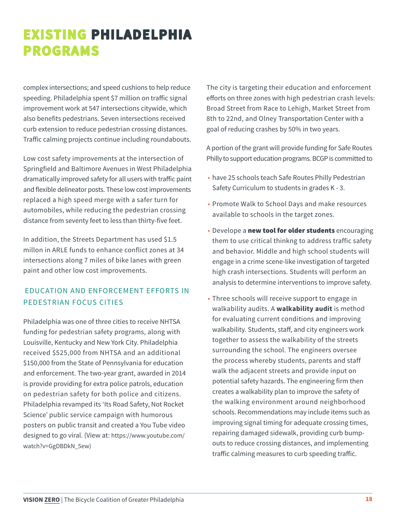# **EXISTING PHILADELPHIA PROGRAMS**

complex intersections; and speed cushions to help reduce speeding. Philadelphia spent \$7 million on traffic signal improvement work at 547 intersections citywide, which also benefits pedestrians. Seven intersections received curb extension to reduce pedestrian crossing distances. Traffic calming projects continue including roundabouts.

Low cost safety improvements at the intersection of Springfield and Baltimore Avenues in West Philadelphia dramatically improved safety for all users with traffic paint and flexible delineator posts. These low cost improvements replaced a high speed merge with a safer turn for automobiles, while reducing the pedestrian crossing distance from seventy feet to less than thirty-five feet.

In addition, the Streets Department has used \$1.5 millon in ARLE funds to enhance conflict zones at 34 intersections along 7 miles of bike lanes with green paint and other low cost improvements.

#### EDUCATION AND ENFORCEMENT EFFORTS IN PEDESTRIAN FOCUS CITIES

Philadelphia was one of three cities to receive NHTSA funding for pedestrian safety programs, along with Louisville, Kentucky and New York City. Philadelphia received \$525,000 from NHTSA and an additional \$150,000 from the State of Pennsylvania for education and enforcement. The two-year grant, awarded in 2014 is provide providing for extra police patrols, education on pedestrian safety for both police and citizens. Philadelphia revamped its 'Its Road Safety, Not Rocket Science' public service campaign with humorous posters on public transit and created a You Tube video designed to go viral. (View at: https://www.youtube.com/ watch?v=GgDBDkN\_5ew)

The city is targeting their education and enforcement efforts on three zones with high pedestrian crash levels: Broad Street from Race to Lehigh, Market Street from 8th to 22nd, and Olney Transportation Center with a goal of reducing crashes by 50% in two years.

A portion of the grant will provide funding for Safe Routes Philly to support education programs. BCGP is committed to

- have 25 schools teach Safe Routes Philly Pedestrian Safety Curriculum to students in grades K - 3.
- Promote Walk to School Days and make resources available to schools in the target zones.
- Develope a new tool for older students encouraging them to use critical thinkng to address traffic safety and behavior. Middle and high school students will engage in a crime scene-like investigation of targeted high crash intersections. Students will perform an analysis to determine interventions to improve safety.
- Three schools will receive support to engage in walkability audits. A **walkability audit** is method for evaluating current conditions and improving walkability. Students, staff, and city engineers work together to assess the walkability of the streets surrounding the school. The engineers oversee the process whereby students, parents and staff walk the adjacent streets and provide input on potential safety hazards. The engineering firm then creates a walkability plan to improve the safety of the walking environment around neighborhood schools. Recommendations may include items such as improving signal timing for adequate crossing times, repairing damaged sidewalk, providing curb bumpouts to reduce crossing distances, and implementing traffic calming measures to curb speeding traffic.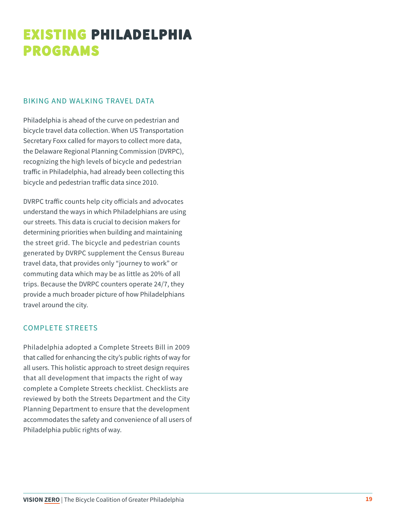# **EXISTING PHILADELPHIA PROGRAMS**

#### BIKING AND WALKING TRAVEL DATA

Philadelphia is ahead of the curve on pedestrian and bicycle travel data collection. When US Transportation Secretary Foxx called for mayors to collect more data, the Delaware Regional Planning Commission (DVRPC), recognizing the high levels of bicycle and pedestrian traffic in Philadelphia, had already been collecting this bicycle and pedestrian traffic data since 2010.

DVRPC traffic counts help city officials and advocates understand the ways in which Philadelphians are using our streets. This data is crucial to decision makers for determining priorities when building and maintaining the street grid. The bicycle and pedestrian counts generated by DVRPC supplement the Census Bureau travel data, that provides only "journey to work" or commuting data which may be as little as 20% of all trips. Because the DVRPC counters operate 24/7, they provide a much broader picture of how Philadelphians travel around the city.

#### COMPLETE STREETS

Philadelphia adopted a Complete Streets Bill in 2009 that called for enhancing the city's public rights of way for all users. This holistic approach to street design requires that all development that impacts the right of way complete a Complete Streets checklist. Checklists are reviewed by both the Streets Department and the City Planning Department to ensure that the development accommodates the safety and convenience of all users of Philadelphia public rights of way.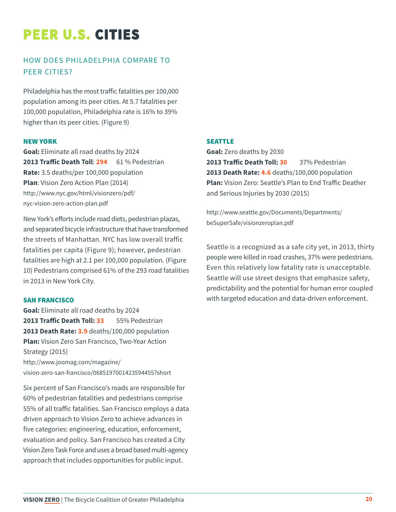# **PEER U.S. CITIES**

#### HOW DOES PHILADELPHIA COMPARE TO PEER CITIES?

Philadelphia has the most traffic fatalities per 100,000 population among its peer cities. At 5.7 fatalities per 100,000 population, Philadelphia rate is 16% to 39% higher than its peer cities. (Figure 9)

#### NEW YORK

**Goal:** Eliminate all road deaths by 2024 **2013 Traffic Death Toll**: **294** 61 % Pedestrian **Rate:** 3.5 deaths/per 100,000 population **Plan**: Vision Zero Action Plan (2014) http://www.nyc.gov/html/visionzero/pdf/ nyc-vision-zero-action-plan.pdf

New York's efforts include road diets, pedestrian plazas, and separated bicycle infrastructure that have transformed the streets of Manhattan. NYC has low overall traffic fatalities per capita (Figure 9); however, pedestrian fatalities are high at 2.1 per 100,000 population. (Figure 10) Pedestrians comprised 61% of the 293 road fatalities in 2013 in New York City.

#### SAN FRANCISCO

**Goal:** Eliminate all road deaths by 2024 **2013 Traffic Death Toll: 33** 55% Pedestrian **2013 Death Rate: 3.9** deaths/100,000 population **Plan:** Vision Zero San Francisco, Two-Year Action Strategy (2015)

http://www.joomag.com/magazine/ vision-zero-san-francisco/0685197001423594455?short

Six percent of San Francisco's roads are responsible for 60% of pedestrian fatalities and pedestrians comprise 55% of all traffic fatalities. San Francisco employs a data driven approach to Vision Zero to achieve advances in five categories: engineering, education, enforcement, evaluation and policy. San Francisco has created a City Vision Zero Task Force and uses a broad based multi-agency approach that includes opportunities for public input.

#### SEATTLE

**Goal:** Zero deaths by 2030 **2013 Traffic Death Toll: 30** 37% Pedestrian **2013 Death Rate: 4.6** deaths/100,000 population **Plan:** Vision Zero: Seattle's Plan to End Traffic Deather and Serious Injuries by 2030 (2015)

http://www.seattle.gov/Documents/Departments/ beSuperSafe/visionzeroplan.pdf

Seattle is a recognized as a safe city yet, in 2013, thirty people were killed in road crashes, 37% were pedestrians. Even this relatively low fatality rate is unacceptable. Seattle will use street designs that emphasize safety, predictability and the potential for human error coupled with targeted education and data-driven enforcement.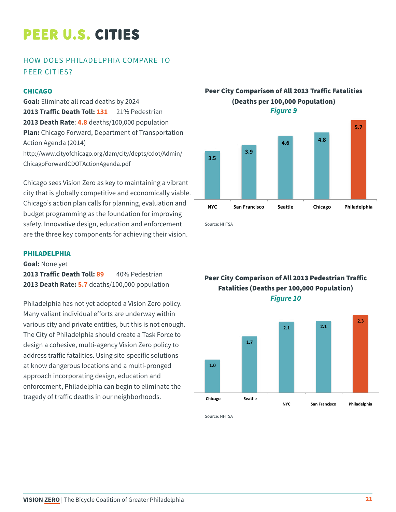# **PEER U.S. CITIES**

#### HOW DOES PHILADELPHIA COMPARE TO PEER CITIES?

#### **CHICAGO**

**Goal:** Eliminate all road deaths by 2024 **2013 Traffic Death Toll: 131** 21% Pedestrian **2013 Death Rate**: **4.8** deaths/100,000 population **Plan:** Chicago Forward, Department of Transportation Action Agenda (2014) http://www.cityofchicago.org/dam/city/depts/cdot/Admin/ ChicagoForwardCDOTActionAgenda.pdf

Chicago sees Vision Zero as key to maintaining a vibrant city that is globally competitive and economically viable. Chicago's action plan calls for planning, evaluation and budget programming as the foundation for improving safety. Innovative design, education and enforcement are the three key components for achieving their vision.

#### PHILADELPHIA

**Goal:** None yet **2013 Traffic Death Toll: 89** 40% Pedestrian **2013 Death Rate: 5.7** deaths/100,000 population

Philadelphia has not yet adopted a Vision Zero policy. Many valiant individual efforts are underway within various city and private entities, but this is not enough. The City of Philadelphia should create a Task Force to design a cohesive, multi-agency Vision Zero policy to address traffic fatalities. Using site-specific solutions at know dangerous locations and a multi-pronged approach incorporating design, education and enforcement, Philadelphia can begin to eliminate the tragedy of traffic deaths in our neighborhoods.

#### Peer City Comparison of All 2013 Traffic Fatalities (Deaths per 100,000 Population) *Figure 9*



Source: NHTSA

**Fatalities (Deaths per 100,000 Population)** *<i>Figure 10* Peer City Comparison of All 2013 Pedestrian Traffic



Source: NHTSA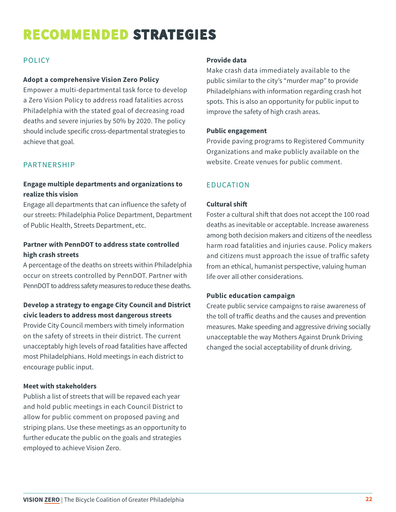# **RECOMMENDED STRATEGIES**

#### POLICY

#### **Adopt a comprehensive Vision Zero Policy**

Empower a multi-departmental task force to develop a Zero Vision Policy to address road fatalities across Philadelphia with the stated goal of decreasing road deaths and severe injuries by 50% by 2020. The policy should include specific cross-departmental strategies to achieve that goal.

#### PARTNERSHIP

#### **Engage multiple departments and organizations to realize this vision**

Engage all departments that can influence the safety of our streets: Philadelphia Police Department, Department of Public Health, Streets Department, etc.

#### **Partner with PennDOT to address state controlled high crash streets**

A percentage of the deaths on streets within Philadelphia occur on streets controlled by PennDOT. Partner with PennDOT to address safety measures to reduce these deaths.

#### **Develop a strategy to engage City Council and District civic leaders to address most dangerous streets**

Provide City Council members with timely information on the safety of streets in their district. The current unacceptably high levels of road fatalities have affected most Philadelphians. Hold meetings in each district to encourage public input.

#### **Meet with stakeholders**

Publish a list of streets that will be repaved each year and hold public meetings in each Council District to allow for public comment on proposed paving and striping plans. Use these meetings as an opportunity to further educate the public on the goals and strategies employed to achieve Vision Zero.

#### **Provide data**

Make crash data immediately available to the public similar to the city's "murder map" to provide Philadelphians with information regarding crash hot spots. This is also an opportunity for public input to improve the safety of high crash areas.

#### **Public engagement**

Provide paving programs to Registered Community Organizations and make publicly available on the website. Create venues for public comment.

#### EDUCATION

#### **Cultural shift**

Foster a cultural shift that does not accept the 100 road deaths as inevitable or acceptable. Increase awareness among both decision makers and citizens of the needless harm road fatalities and injuries cause. Policy makers and citizens must approach the issue of traffic safety from an ethical, humanist perspective, valuing human life over all other considerations.

#### **Public education campaign**

Create public service campaigns to raise awareness of the toll of traffic deaths and the causes and prevention measures. Make speeding and aggressive driving socially unacceptable the way Mothers Against Drunk Driving changed the social acceptability of drunk driving.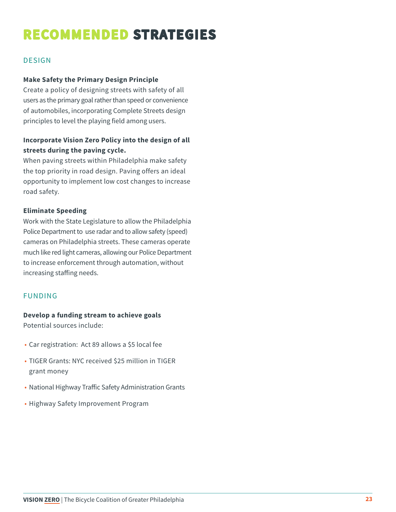# **RECOMMENDED STRATEGIES**

#### DESIGN

#### **Make Safety the Primary Design Principle**

Create a policy of designing streets with safety of all users as the primary goal rather than speed or convenience of automobiles, incorporating Complete Streets design principles to level the playing field among users.

#### **Incorporate Vision Zero Policy into the design of all streets during the paving cycle.**

When paving streets within Philadelphia make safety the top priority in road design. Paving offers an ideal opportunity to implement low cost changes to increase road safety.

#### **Eliminate Speeding**

Work with the State Legislature to allow the Philadelphia Police Department to use radar and to allow safety (speed) cameras on Philadelphia streets. These cameras operate much like red light cameras, allowing our Police Department to increase enforcement through automation, without increasing staffing needs.

#### FUNDING

#### **Develop a funding stream to achieve goals**

Potential sources include:

- Car registration: Act 89 allows a \$5 local fee
- TIGER Grants: NYC received \$25 million in TIGER grant money
- National Highway Traffic Safety Administration Grants
- Highway Safety Improvement Program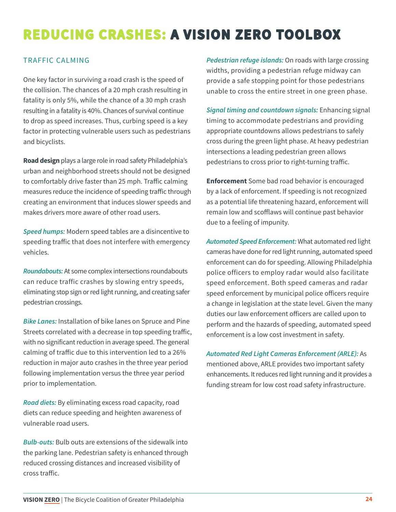# **REDUCING CRASHES: A VISION ZERO TOOLBOX**

#### TRAFFIC CALMING

One key factor in surviving a road crash is the speed of the collision. The chances of a 20 mph crash resulting in fatality is only 5%, while the chance of a 30 mph crash resulting in a fatality is 40%. Chances of survival continue to drop as speed increases. Thus, curbing speed is a key factor in protecting vulnerable users such as pedestrians and bicyclists.

**Road design** plays a large role in road safety Philadelphia's urban and neighborhood streets should not be designed to comfortably drive faster than 25 mph. Traffic calming measures reduce the incidence of speeding traffic through creating an environment that induces slower speeds and makes drivers more aware of other road users.

*Speed humps:* Modern speed tables are a disincentive to speeding traffic that does not interfere with emergency vehicles.

*Roundabouts:* At some complex intersections roundabouts can reduce traffic crashes by slowing entry speeds, eliminating stop sign or red light running, and creating safer pedestrian crossings.

*Bike Lanes:* Installation of bike lanes on Spruce and Pine Streets correlated with a decrease in top speeding traffic, with no significant reduction in average speed. The general calming of traffic due to this intervention led to a 26% reduction in major auto crashes in the three year period following implementation versus the three year period prior to implementation.

*Road diets:* By eliminating excess road capacity, road diets can reduce speeding and heighten awareness of vulnerable road users.

*Bulb-outs:* Bulb outs are extensions of the sidewalk into the parking lane. Pedestrian safety is enhanced through reduced crossing distances and increased visibility of cross traffic.

*Pedestrian refuge islands:* On roads with large crossing widths, providing a pedestrian refuge midway can provide a safe stopping point for those pedestrians unable to cross the entire street in one green phase.

*Signal timing and countdown signals:* Enhancing signal timing to accommodate pedestrians and providing appropriate countdowns allows pedestrians to safely cross during the green light phase. At heavy pedestrian intersections a leading pedestrian green allows pedestrians to cross prior to right-turning traffic.

**Enforcement** Some bad road behavior is encouraged by a lack of enforcement. If speeding is not recognized as a potential life threatening hazard, enforcement will remain low and scofflaws will continue past behavior due to a feeling of impunity.

*Automated Speed Enforcement:* What automated red light cameras have done for red light running, automated speed enforcement can do for speeding. Allowing Philadelphia police officers to employ radar would also facilitate speed enforcement. Both speed cameras and radar speed enforcement by municipal police officers require a change in legislation at the state level. Given the many duties our law enforcement officers are called upon to perform and the hazards of speeding, automated speed enforcement is a low cost investment in safety.

*Automated Red Light Cameras Enforcement (ARLE):* As mentioned above, ARLE provides two important safety enhancements. It reduces red light running and it provides a funding stream for low cost road safety infrastructure.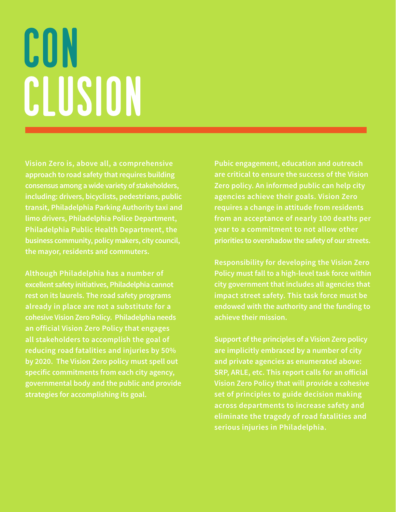# CON CLUSION

**Vision Zero is, above all, a comprehensive approach to road safety that requires building consensus among a wide variety of stakeholders, including: drivers, bicyclists, pedestrians, public transit, Philadelphia Parking Authority taxi and limo drivers, Philadelphia Police Department, Philadelphia Public Health Department, the business community, policy makers, city council, the mayor, residents and commuters.** 

**Although Philadelphia has a number of excellent safety initiatives, Philadelphia cannot rest on its laurels. The road safety programs already in place are not a substitute for a cohesive Vision Zero Policy. Philadelphia needs an official Vision Zero Policy that engages all stakeholders to accomplish the goal of reducing road fatalities and injuries by 50% by 2020. The Vision Zero policy must spell out specific commitments from each city agency, governmental body and the public and provide strategies for accomplishing its goal.**

**Pubic engagement, education and outreach are critical to ensure the success of the Vision Zero policy. An informed public can help city agencies achieve their goals. Vision Zero requires a change in attitude from residents from an acceptance of nearly 100 deaths per year to a commitment to not allow other priorities to overshadow the safety of our streets.** 

**Responsibility for developing the Vision Zero Policy must fall to a high-level task force within city government that includes all agencies that impact street safety. This task force must be endowed with the authority and the funding to achieve their mission.**

**Support of the principles of a Vision Zero policy are implicitly embraced by a number of city and private agencies as enumerated above: SRP, ARLE, etc. This report calls for an official Vision Zero Policy that will provide a cohesive set of principles to guide decision making across departments to increase safety and eliminate the tragedy of road fatalities and serious injuries in Philadelphia.**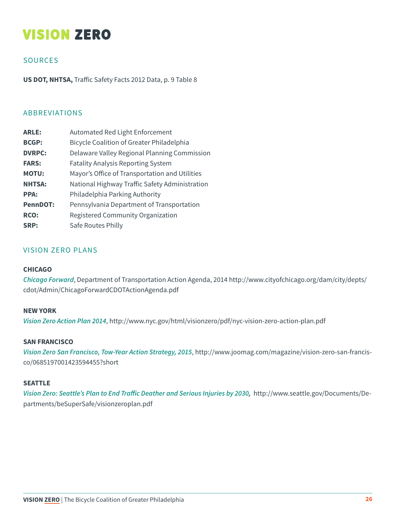## **VISION ZERO**

#### **SOURCES**

**US DOT, NHTSA,** Traffic Safety Facts 2012 Data, p. 9 Table 8

#### ABBREVIATIONS

| <b>ARLE:</b>    | Automated Red Light Enforcement                  |
|-----------------|--------------------------------------------------|
| <b>BCGP:</b>    | <b>Bicycle Coalition of Greater Philadelphia</b> |
| <b>DVRPC:</b>   | Delaware Valley Regional Planning Commission     |
| <b>FARS:</b>    | <b>Fatality Analysis Reporting System</b>        |
| <b>MOTU:</b>    | Mayor's Office of Transportation and Utilities   |
| <b>NHTSA:</b>   | National Highway Traffic Safety Administration   |
| <b>PPA:</b>     | Philadelphia Parking Authority                   |
| <b>PennDOT:</b> | Pennsylvania Department of Transportation        |
| RCO:            | Registered Community Organization                |
| SRP:            | Safe Routes Philly                               |

#### VISION ZERO PLANS

#### **CHICAGO**

*Chicago Forward*, Department of Transportation Action Agenda, 2014 http://www.cityofchicago.org/dam/city/depts/ cdot/Admin/ChicagoForwardCDOTActionAgenda.pdf

#### **NEW YORK**

*Vision Zero Action Plan 2014*, http://www.nyc.gov/html/visionzero/pdf/nyc-vision-zero-action-plan.pdf

#### **SAN FRANCISCO**

*Vision Zero San Francisco, Tow-Year Action Strategy, 2015*, http://www.joomag.com/magazine/vision-zero-san-francisco/0685197001423594455?short

#### **SEATTLE**

Vision Zero: Seattle's Plan to End Traffic Deather and Serious Injuries by 2030, http://www.seattle.gov/Documents/Departments/beSuperSafe/visionzeroplan.pdf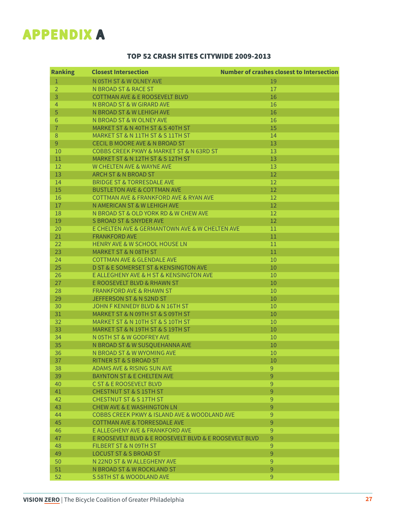## **APPENDIX A**

#### TOP 52 CRASH SITES CITYWIDE 2009-2013

| $\mathbf{1}$<br>N 05TH ST & W OLNEY AVE<br>19<br>$\overline{2}$<br>N BROAD ST & RACE ST<br>17<br>3<br>16<br><b>COTTMAN AVE &amp; E ROOSEVELT BLVD</b><br>$\overline{4}$<br>N BROAD ST & W GIRARD AVE<br>16<br>5<br>N BROAD ST & W LEHIGH AVE<br>16<br>$6\phantom{1}$<br>N BROAD ST & W OLNEY AVE<br>16<br>$\overline{7}$<br>MARKET ST & N 40TH ST & S 40TH ST<br>15<br>$\,8\,$<br>MARKET ST & N 11TH ST & S 11TH ST<br>14<br>$\overline{9}$<br><b>CECIL B MOORE AVE &amp; N BROAD ST</b><br>13<br>10<br><b>COBBS CREEK PKWY &amp; MARKET ST &amp; N 63RD ST</b><br>13<br>13<br>11<br>MARKET ST & N 12TH ST & S 12TH ST<br>12<br>W CHELTEN AVE & WAYNE AVE<br>13<br>13<br>12<br>ARCH ST & N BROAD ST<br>14<br><b>BRIDGE ST &amp; TORRESDALE AVE</b><br>12<br>12<br>15<br><b>BUSTLETON AVE &amp; COTTMAN AVE</b><br>12<br>16<br>COTTMAN AVE & FRANKFORD AVE & RYAN AVE<br>12<br>17<br>N AMERICAN ST & W LEHIGH AVE<br>18<br>N BROAD ST & OLD YORK RD & W CHEW AVE<br>12<br>12<br>19<br>S BROAD ST & SNYDER AVE<br>20<br>E CHELTEN AVE & GERMANTOWN AVE & W CHELTEN AVE<br>11<br>21<br>$11\,$<br><b>FRANKFORD AVE</b><br>22<br><b>HENRY AVE &amp; W SCHOOL HOUSE LN</b><br>11<br>23<br>11<br><b>MARKET ST &amp; N 08TH ST</b><br>24<br><b>COTTMAN AVE &amp; GLENDALE AVE</b><br>10<br>25<br>D ST & E SOMERSET ST & KENSINGTON AVE<br>10<br>26<br>E ALLEGHENY AVE & H ST & KENSINGTON AVE<br>10<br>10<br>27<br>E ROOSEVELT BLVD & RHAWN ST<br>28<br><b>FRANKFORD AVE &amp; RHAWN ST</b><br>10<br>29<br>JEFFERSON ST & N 52ND ST<br>10<br>30<br>JOHN F KENNEDY BLVD & N 16TH ST<br>10<br>31<br>MARKET ST & N 09TH ST & S 09TH ST<br>10<br>32<br>MARKET ST & N 10TH ST & S 10TH ST<br>10<br>33<br>10<br>MARKET ST & N 19TH ST & S 19TH ST<br>34<br>N 05TH ST & W GODFREY AVE<br>10<br>35<br>10<br>N BROAD ST & W SUSQUEHANNA AVE<br>36<br>N BROAD ST & W WYOMING AVE<br>10<br>37<br><b>RITNER ST &amp; S BROAD ST</b><br>10<br>$\mathsf 9$<br>38<br>ADAMS AVE & RISING SUN AVE<br>9<br>39<br><b>BAYNTON ST &amp; E CHELTEN AVE</b><br>$\mathsf 9$<br>40<br>C ST & E ROOSEVELT BLVD<br>9<br>41<br><b>CHESTNUT ST &amp; S 15TH ST</b><br>42<br><b>CHESTNUT ST &amp; S 17TH ST</b><br>$\overline{9}$<br>9<br>43<br><b>CHEW AVE &amp; E WASHINGTON LN</b><br>9<br>44<br>COBBS CREEK PKWY & ISLAND AVE & WOODLAND AVE<br>9<br>45<br><b>COTTMAN AVE &amp; TORRESDALE AVE</b><br>9<br>46<br>E ALLEGHENY AVE & FRANKFORD AVE<br>9<br>47<br>E ROOSEVELT BLVD & E ROOSEVELT BLVD & E ROOSEVELT BLVD<br>48<br>$\overline{9}$<br>FILBERT ST & N 09TH ST<br>9<br>49<br><b>LOCUST ST &amp; S BROAD ST</b><br>$\overline{9}$<br>50<br>N 22ND ST & W ALLEGHENY AVE<br>9<br>51<br>N BROAD ST & W ROCKLAND ST<br>52<br>9<br>S 58TH ST & WOODLAND AVE | <b>Ranking</b> | <b>Closest Intersection</b> | <b>Number of crashes closest to Intersection</b> |
|------------------------------------------------------------------------------------------------------------------------------------------------------------------------------------------------------------------------------------------------------------------------------------------------------------------------------------------------------------------------------------------------------------------------------------------------------------------------------------------------------------------------------------------------------------------------------------------------------------------------------------------------------------------------------------------------------------------------------------------------------------------------------------------------------------------------------------------------------------------------------------------------------------------------------------------------------------------------------------------------------------------------------------------------------------------------------------------------------------------------------------------------------------------------------------------------------------------------------------------------------------------------------------------------------------------------------------------------------------------------------------------------------------------------------------------------------------------------------------------------------------------------------------------------------------------------------------------------------------------------------------------------------------------------------------------------------------------------------------------------------------------------------------------------------------------------------------------------------------------------------------------------------------------------------------------------------------------------------------------------------------------------------------------------------------------------------------------------------------------------------------------------------------------------------------------------------------------------------------------------------------------------------------------------------------------------------------------------------------------------------------------------------------------------------------------------------------------------------------------------------------------------------------------------------------------------------------------------------------------------------------------------------------------------------------------------------------------------------|----------------|-----------------------------|--------------------------------------------------|
|                                                                                                                                                                                                                                                                                                                                                                                                                                                                                                                                                                                                                                                                                                                                                                                                                                                                                                                                                                                                                                                                                                                                                                                                                                                                                                                                                                                                                                                                                                                                                                                                                                                                                                                                                                                                                                                                                                                                                                                                                                                                                                                                                                                                                                                                                                                                                                                                                                                                                                                                                                                                                                                                                                                              |                |                             |                                                  |
|                                                                                                                                                                                                                                                                                                                                                                                                                                                                                                                                                                                                                                                                                                                                                                                                                                                                                                                                                                                                                                                                                                                                                                                                                                                                                                                                                                                                                                                                                                                                                                                                                                                                                                                                                                                                                                                                                                                                                                                                                                                                                                                                                                                                                                                                                                                                                                                                                                                                                                                                                                                                                                                                                                                              |                |                             |                                                  |
|                                                                                                                                                                                                                                                                                                                                                                                                                                                                                                                                                                                                                                                                                                                                                                                                                                                                                                                                                                                                                                                                                                                                                                                                                                                                                                                                                                                                                                                                                                                                                                                                                                                                                                                                                                                                                                                                                                                                                                                                                                                                                                                                                                                                                                                                                                                                                                                                                                                                                                                                                                                                                                                                                                                              |                |                             |                                                  |
|                                                                                                                                                                                                                                                                                                                                                                                                                                                                                                                                                                                                                                                                                                                                                                                                                                                                                                                                                                                                                                                                                                                                                                                                                                                                                                                                                                                                                                                                                                                                                                                                                                                                                                                                                                                                                                                                                                                                                                                                                                                                                                                                                                                                                                                                                                                                                                                                                                                                                                                                                                                                                                                                                                                              |                |                             |                                                  |
|                                                                                                                                                                                                                                                                                                                                                                                                                                                                                                                                                                                                                                                                                                                                                                                                                                                                                                                                                                                                                                                                                                                                                                                                                                                                                                                                                                                                                                                                                                                                                                                                                                                                                                                                                                                                                                                                                                                                                                                                                                                                                                                                                                                                                                                                                                                                                                                                                                                                                                                                                                                                                                                                                                                              |                |                             |                                                  |
|                                                                                                                                                                                                                                                                                                                                                                                                                                                                                                                                                                                                                                                                                                                                                                                                                                                                                                                                                                                                                                                                                                                                                                                                                                                                                                                                                                                                                                                                                                                                                                                                                                                                                                                                                                                                                                                                                                                                                                                                                                                                                                                                                                                                                                                                                                                                                                                                                                                                                                                                                                                                                                                                                                                              |                |                             |                                                  |
|                                                                                                                                                                                                                                                                                                                                                                                                                                                                                                                                                                                                                                                                                                                                                                                                                                                                                                                                                                                                                                                                                                                                                                                                                                                                                                                                                                                                                                                                                                                                                                                                                                                                                                                                                                                                                                                                                                                                                                                                                                                                                                                                                                                                                                                                                                                                                                                                                                                                                                                                                                                                                                                                                                                              |                |                             |                                                  |
|                                                                                                                                                                                                                                                                                                                                                                                                                                                                                                                                                                                                                                                                                                                                                                                                                                                                                                                                                                                                                                                                                                                                                                                                                                                                                                                                                                                                                                                                                                                                                                                                                                                                                                                                                                                                                                                                                                                                                                                                                                                                                                                                                                                                                                                                                                                                                                                                                                                                                                                                                                                                                                                                                                                              |                |                             |                                                  |
|                                                                                                                                                                                                                                                                                                                                                                                                                                                                                                                                                                                                                                                                                                                                                                                                                                                                                                                                                                                                                                                                                                                                                                                                                                                                                                                                                                                                                                                                                                                                                                                                                                                                                                                                                                                                                                                                                                                                                                                                                                                                                                                                                                                                                                                                                                                                                                                                                                                                                                                                                                                                                                                                                                                              |                |                             |                                                  |
|                                                                                                                                                                                                                                                                                                                                                                                                                                                                                                                                                                                                                                                                                                                                                                                                                                                                                                                                                                                                                                                                                                                                                                                                                                                                                                                                                                                                                                                                                                                                                                                                                                                                                                                                                                                                                                                                                                                                                                                                                                                                                                                                                                                                                                                                                                                                                                                                                                                                                                                                                                                                                                                                                                                              |                |                             |                                                  |
|                                                                                                                                                                                                                                                                                                                                                                                                                                                                                                                                                                                                                                                                                                                                                                                                                                                                                                                                                                                                                                                                                                                                                                                                                                                                                                                                                                                                                                                                                                                                                                                                                                                                                                                                                                                                                                                                                                                                                                                                                                                                                                                                                                                                                                                                                                                                                                                                                                                                                                                                                                                                                                                                                                                              |                |                             |                                                  |
|                                                                                                                                                                                                                                                                                                                                                                                                                                                                                                                                                                                                                                                                                                                                                                                                                                                                                                                                                                                                                                                                                                                                                                                                                                                                                                                                                                                                                                                                                                                                                                                                                                                                                                                                                                                                                                                                                                                                                                                                                                                                                                                                                                                                                                                                                                                                                                                                                                                                                                                                                                                                                                                                                                                              |                |                             |                                                  |
|                                                                                                                                                                                                                                                                                                                                                                                                                                                                                                                                                                                                                                                                                                                                                                                                                                                                                                                                                                                                                                                                                                                                                                                                                                                                                                                                                                                                                                                                                                                                                                                                                                                                                                                                                                                                                                                                                                                                                                                                                                                                                                                                                                                                                                                                                                                                                                                                                                                                                                                                                                                                                                                                                                                              |                |                             |                                                  |
|                                                                                                                                                                                                                                                                                                                                                                                                                                                                                                                                                                                                                                                                                                                                                                                                                                                                                                                                                                                                                                                                                                                                                                                                                                                                                                                                                                                                                                                                                                                                                                                                                                                                                                                                                                                                                                                                                                                                                                                                                                                                                                                                                                                                                                                                                                                                                                                                                                                                                                                                                                                                                                                                                                                              |                |                             |                                                  |
|                                                                                                                                                                                                                                                                                                                                                                                                                                                                                                                                                                                                                                                                                                                                                                                                                                                                                                                                                                                                                                                                                                                                                                                                                                                                                                                                                                                                                                                                                                                                                                                                                                                                                                                                                                                                                                                                                                                                                                                                                                                                                                                                                                                                                                                                                                                                                                                                                                                                                                                                                                                                                                                                                                                              |                |                             |                                                  |
|                                                                                                                                                                                                                                                                                                                                                                                                                                                                                                                                                                                                                                                                                                                                                                                                                                                                                                                                                                                                                                                                                                                                                                                                                                                                                                                                                                                                                                                                                                                                                                                                                                                                                                                                                                                                                                                                                                                                                                                                                                                                                                                                                                                                                                                                                                                                                                                                                                                                                                                                                                                                                                                                                                                              |                |                             |                                                  |
|                                                                                                                                                                                                                                                                                                                                                                                                                                                                                                                                                                                                                                                                                                                                                                                                                                                                                                                                                                                                                                                                                                                                                                                                                                                                                                                                                                                                                                                                                                                                                                                                                                                                                                                                                                                                                                                                                                                                                                                                                                                                                                                                                                                                                                                                                                                                                                                                                                                                                                                                                                                                                                                                                                                              |                |                             |                                                  |
|                                                                                                                                                                                                                                                                                                                                                                                                                                                                                                                                                                                                                                                                                                                                                                                                                                                                                                                                                                                                                                                                                                                                                                                                                                                                                                                                                                                                                                                                                                                                                                                                                                                                                                                                                                                                                                                                                                                                                                                                                                                                                                                                                                                                                                                                                                                                                                                                                                                                                                                                                                                                                                                                                                                              |                |                             |                                                  |
|                                                                                                                                                                                                                                                                                                                                                                                                                                                                                                                                                                                                                                                                                                                                                                                                                                                                                                                                                                                                                                                                                                                                                                                                                                                                                                                                                                                                                                                                                                                                                                                                                                                                                                                                                                                                                                                                                                                                                                                                                                                                                                                                                                                                                                                                                                                                                                                                                                                                                                                                                                                                                                                                                                                              |                |                             |                                                  |
|                                                                                                                                                                                                                                                                                                                                                                                                                                                                                                                                                                                                                                                                                                                                                                                                                                                                                                                                                                                                                                                                                                                                                                                                                                                                                                                                                                                                                                                                                                                                                                                                                                                                                                                                                                                                                                                                                                                                                                                                                                                                                                                                                                                                                                                                                                                                                                                                                                                                                                                                                                                                                                                                                                                              |                |                             |                                                  |
|                                                                                                                                                                                                                                                                                                                                                                                                                                                                                                                                                                                                                                                                                                                                                                                                                                                                                                                                                                                                                                                                                                                                                                                                                                                                                                                                                                                                                                                                                                                                                                                                                                                                                                                                                                                                                                                                                                                                                                                                                                                                                                                                                                                                                                                                                                                                                                                                                                                                                                                                                                                                                                                                                                                              |                |                             |                                                  |
|                                                                                                                                                                                                                                                                                                                                                                                                                                                                                                                                                                                                                                                                                                                                                                                                                                                                                                                                                                                                                                                                                                                                                                                                                                                                                                                                                                                                                                                                                                                                                                                                                                                                                                                                                                                                                                                                                                                                                                                                                                                                                                                                                                                                                                                                                                                                                                                                                                                                                                                                                                                                                                                                                                                              |                |                             |                                                  |
|                                                                                                                                                                                                                                                                                                                                                                                                                                                                                                                                                                                                                                                                                                                                                                                                                                                                                                                                                                                                                                                                                                                                                                                                                                                                                                                                                                                                                                                                                                                                                                                                                                                                                                                                                                                                                                                                                                                                                                                                                                                                                                                                                                                                                                                                                                                                                                                                                                                                                                                                                                                                                                                                                                                              |                |                             |                                                  |
|                                                                                                                                                                                                                                                                                                                                                                                                                                                                                                                                                                                                                                                                                                                                                                                                                                                                                                                                                                                                                                                                                                                                                                                                                                                                                                                                                                                                                                                                                                                                                                                                                                                                                                                                                                                                                                                                                                                                                                                                                                                                                                                                                                                                                                                                                                                                                                                                                                                                                                                                                                                                                                                                                                                              |                |                             |                                                  |
|                                                                                                                                                                                                                                                                                                                                                                                                                                                                                                                                                                                                                                                                                                                                                                                                                                                                                                                                                                                                                                                                                                                                                                                                                                                                                                                                                                                                                                                                                                                                                                                                                                                                                                                                                                                                                                                                                                                                                                                                                                                                                                                                                                                                                                                                                                                                                                                                                                                                                                                                                                                                                                                                                                                              |                |                             |                                                  |
|                                                                                                                                                                                                                                                                                                                                                                                                                                                                                                                                                                                                                                                                                                                                                                                                                                                                                                                                                                                                                                                                                                                                                                                                                                                                                                                                                                                                                                                                                                                                                                                                                                                                                                                                                                                                                                                                                                                                                                                                                                                                                                                                                                                                                                                                                                                                                                                                                                                                                                                                                                                                                                                                                                                              |                |                             |                                                  |
|                                                                                                                                                                                                                                                                                                                                                                                                                                                                                                                                                                                                                                                                                                                                                                                                                                                                                                                                                                                                                                                                                                                                                                                                                                                                                                                                                                                                                                                                                                                                                                                                                                                                                                                                                                                                                                                                                                                                                                                                                                                                                                                                                                                                                                                                                                                                                                                                                                                                                                                                                                                                                                                                                                                              |                |                             |                                                  |
|                                                                                                                                                                                                                                                                                                                                                                                                                                                                                                                                                                                                                                                                                                                                                                                                                                                                                                                                                                                                                                                                                                                                                                                                                                                                                                                                                                                                                                                                                                                                                                                                                                                                                                                                                                                                                                                                                                                                                                                                                                                                                                                                                                                                                                                                                                                                                                                                                                                                                                                                                                                                                                                                                                                              |                |                             |                                                  |
|                                                                                                                                                                                                                                                                                                                                                                                                                                                                                                                                                                                                                                                                                                                                                                                                                                                                                                                                                                                                                                                                                                                                                                                                                                                                                                                                                                                                                                                                                                                                                                                                                                                                                                                                                                                                                                                                                                                                                                                                                                                                                                                                                                                                                                                                                                                                                                                                                                                                                                                                                                                                                                                                                                                              |                |                             |                                                  |
|                                                                                                                                                                                                                                                                                                                                                                                                                                                                                                                                                                                                                                                                                                                                                                                                                                                                                                                                                                                                                                                                                                                                                                                                                                                                                                                                                                                                                                                                                                                                                                                                                                                                                                                                                                                                                                                                                                                                                                                                                                                                                                                                                                                                                                                                                                                                                                                                                                                                                                                                                                                                                                                                                                                              |                |                             |                                                  |
|                                                                                                                                                                                                                                                                                                                                                                                                                                                                                                                                                                                                                                                                                                                                                                                                                                                                                                                                                                                                                                                                                                                                                                                                                                                                                                                                                                                                                                                                                                                                                                                                                                                                                                                                                                                                                                                                                                                                                                                                                                                                                                                                                                                                                                                                                                                                                                                                                                                                                                                                                                                                                                                                                                                              |                |                             |                                                  |
|                                                                                                                                                                                                                                                                                                                                                                                                                                                                                                                                                                                                                                                                                                                                                                                                                                                                                                                                                                                                                                                                                                                                                                                                                                                                                                                                                                                                                                                                                                                                                                                                                                                                                                                                                                                                                                                                                                                                                                                                                                                                                                                                                                                                                                                                                                                                                                                                                                                                                                                                                                                                                                                                                                                              |                |                             |                                                  |
|                                                                                                                                                                                                                                                                                                                                                                                                                                                                                                                                                                                                                                                                                                                                                                                                                                                                                                                                                                                                                                                                                                                                                                                                                                                                                                                                                                                                                                                                                                                                                                                                                                                                                                                                                                                                                                                                                                                                                                                                                                                                                                                                                                                                                                                                                                                                                                                                                                                                                                                                                                                                                                                                                                                              |                |                             |                                                  |
|                                                                                                                                                                                                                                                                                                                                                                                                                                                                                                                                                                                                                                                                                                                                                                                                                                                                                                                                                                                                                                                                                                                                                                                                                                                                                                                                                                                                                                                                                                                                                                                                                                                                                                                                                                                                                                                                                                                                                                                                                                                                                                                                                                                                                                                                                                                                                                                                                                                                                                                                                                                                                                                                                                                              |                |                             |                                                  |
|                                                                                                                                                                                                                                                                                                                                                                                                                                                                                                                                                                                                                                                                                                                                                                                                                                                                                                                                                                                                                                                                                                                                                                                                                                                                                                                                                                                                                                                                                                                                                                                                                                                                                                                                                                                                                                                                                                                                                                                                                                                                                                                                                                                                                                                                                                                                                                                                                                                                                                                                                                                                                                                                                                                              |                |                             |                                                  |
|                                                                                                                                                                                                                                                                                                                                                                                                                                                                                                                                                                                                                                                                                                                                                                                                                                                                                                                                                                                                                                                                                                                                                                                                                                                                                                                                                                                                                                                                                                                                                                                                                                                                                                                                                                                                                                                                                                                                                                                                                                                                                                                                                                                                                                                                                                                                                                                                                                                                                                                                                                                                                                                                                                                              |                |                             |                                                  |
|                                                                                                                                                                                                                                                                                                                                                                                                                                                                                                                                                                                                                                                                                                                                                                                                                                                                                                                                                                                                                                                                                                                                                                                                                                                                                                                                                                                                                                                                                                                                                                                                                                                                                                                                                                                                                                                                                                                                                                                                                                                                                                                                                                                                                                                                                                                                                                                                                                                                                                                                                                                                                                                                                                                              |                |                             |                                                  |
|                                                                                                                                                                                                                                                                                                                                                                                                                                                                                                                                                                                                                                                                                                                                                                                                                                                                                                                                                                                                                                                                                                                                                                                                                                                                                                                                                                                                                                                                                                                                                                                                                                                                                                                                                                                                                                                                                                                                                                                                                                                                                                                                                                                                                                                                                                                                                                                                                                                                                                                                                                                                                                                                                                                              |                |                             |                                                  |
|                                                                                                                                                                                                                                                                                                                                                                                                                                                                                                                                                                                                                                                                                                                                                                                                                                                                                                                                                                                                                                                                                                                                                                                                                                                                                                                                                                                                                                                                                                                                                                                                                                                                                                                                                                                                                                                                                                                                                                                                                                                                                                                                                                                                                                                                                                                                                                                                                                                                                                                                                                                                                                                                                                                              |                |                             |                                                  |
|                                                                                                                                                                                                                                                                                                                                                                                                                                                                                                                                                                                                                                                                                                                                                                                                                                                                                                                                                                                                                                                                                                                                                                                                                                                                                                                                                                                                                                                                                                                                                                                                                                                                                                                                                                                                                                                                                                                                                                                                                                                                                                                                                                                                                                                                                                                                                                                                                                                                                                                                                                                                                                                                                                                              |                |                             |                                                  |
|                                                                                                                                                                                                                                                                                                                                                                                                                                                                                                                                                                                                                                                                                                                                                                                                                                                                                                                                                                                                                                                                                                                                                                                                                                                                                                                                                                                                                                                                                                                                                                                                                                                                                                                                                                                                                                                                                                                                                                                                                                                                                                                                                                                                                                                                                                                                                                                                                                                                                                                                                                                                                                                                                                                              |                |                             |                                                  |
|                                                                                                                                                                                                                                                                                                                                                                                                                                                                                                                                                                                                                                                                                                                                                                                                                                                                                                                                                                                                                                                                                                                                                                                                                                                                                                                                                                                                                                                                                                                                                                                                                                                                                                                                                                                                                                                                                                                                                                                                                                                                                                                                                                                                                                                                                                                                                                                                                                                                                                                                                                                                                                                                                                                              |                |                             |                                                  |
|                                                                                                                                                                                                                                                                                                                                                                                                                                                                                                                                                                                                                                                                                                                                                                                                                                                                                                                                                                                                                                                                                                                                                                                                                                                                                                                                                                                                                                                                                                                                                                                                                                                                                                                                                                                                                                                                                                                                                                                                                                                                                                                                                                                                                                                                                                                                                                                                                                                                                                                                                                                                                                                                                                                              |                |                             |                                                  |
|                                                                                                                                                                                                                                                                                                                                                                                                                                                                                                                                                                                                                                                                                                                                                                                                                                                                                                                                                                                                                                                                                                                                                                                                                                                                                                                                                                                                                                                                                                                                                                                                                                                                                                                                                                                                                                                                                                                                                                                                                                                                                                                                                                                                                                                                                                                                                                                                                                                                                                                                                                                                                                                                                                                              |                |                             |                                                  |
|                                                                                                                                                                                                                                                                                                                                                                                                                                                                                                                                                                                                                                                                                                                                                                                                                                                                                                                                                                                                                                                                                                                                                                                                                                                                                                                                                                                                                                                                                                                                                                                                                                                                                                                                                                                                                                                                                                                                                                                                                                                                                                                                                                                                                                                                                                                                                                                                                                                                                                                                                                                                                                                                                                                              |                |                             |                                                  |
|                                                                                                                                                                                                                                                                                                                                                                                                                                                                                                                                                                                                                                                                                                                                                                                                                                                                                                                                                                                                                                                                                                                                                                                                                                                                                                                                                                                                                                                                                                                                                                                                                                                                                                                                                                                                                                                                                                                                                                                                                                                                                                                                                                                                                                                                                                                                                                                                                                                                                                                                                                                                                                                                                                                              |                |                             |                                                  |
|                                                                                                                                                                                                                                                                                                                                                                                                                                                                                                                                                                                                                                                                                                                                                                                                                                                                                                                                                                                                                                                                                                                                                                                                                                                                                                                                                                                                                                                                                                                                                                                                                                                                                                                                                                                                                                                                                                                                                                                                                                                                                                                                                                                                                                                                                                                                                                                                                                                                                                                                                                                                                                                                                                                              |                |                             |                                                  |
|                                                                                                                                                                                                                                                                                                                                                                                                                                                                                                                                                                                                                                                                                                                                                                                                                                                                                                                                                                                                                                                                                                                                                                                                                                                                                                                                                                                                                                                                                                                                                                                                                                                                                                                                                                                                                                                                                                                                                                                                                                                                                                                                                                                                                                                                                                                                                                                                                                                                                                                                                                                                                                                                                                                              |                |                             |                                                  |
|                                                                                                                                                                                                                                                                                                                                                                                                                                                                                                                                                                                                                                                                                                                                                                                                                                                                                                                                                                                                                                                                                                                                                                                                                                                                                                                                                                                                                                                                                                                                                                                                                                                                                                                                                                                                                                                                                                                                                                                                                                                                                                                                                                                                                                                                                                                                                                                                                                                                                                                                                                                                                                                                                                                              |                |                             |                                                  |
|                                                                                                                                                                                                                                                                                                                                                                                                                                                                                                                                                                                                                                                                                                                                                                                                                                                                                                                                                                                                                                                                                                                                                                                                                                                                                                                                                                                                                                                                                                                                                                                                                                                                                                                                                                                                                                                                                                                                                                                                                                                                                                                                                                                                                                                                                                                                                                                                                                                                                                                                                                                                                                                                                                                              |                |                             |                                                  |
|                                                                                                                                                                                                                                                                                                                                                                                                                                                                                                                                                                                                                                                                                                                                                                                                                                                                                                                                                                                                                                                                                                                                                                                                                                                                                                                                                                                                                                                                                                                                                                                                                                                                                                                                                                                                                                                                                                                                                                                                                                                                                                                                                                                                                                                                                                                                                                                                                                                                                                                                                                                                                                                                                                                              |                |                             |                                                  |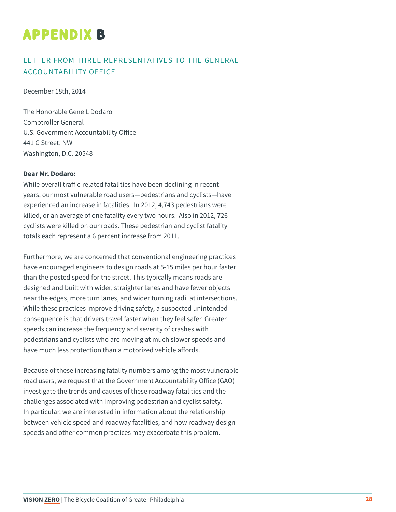# **APPENDIX B**

#### LETTER FROM THREE REPRESENTATIVES TO THE GENERAL ACCOUNTABILITY OFFICE

December 18th, 2014

The Honorable Gene L Dodaro Comptroller General U.S. Government Accountability Office 441 G Street, NW Washington, D.C. 20548

#### **Dear Mr. Dodaro:**

While overall traffic-related fatalities have been declining in recent years, our most vulnerable road users—pedestrians and cyclists—have experienced an increase in fatalities. In 2012, 4,743 pedestrians were killed, or an average of one fatality every two hours. Also in 2012, 726 cyclists were killed on our roads. These pedestrian and cyclist fatality totals each represent a 6 percent increase from 2011.

Furthermore, we are concerned that conventional engineering practices have encouraged engineers to design roads at 5-15 miles per hour faster than the posted speed for the street. This typically means roads are designed and built with wider, straighter lanes and have fewer objects near the edges, more turn lanes, and wider turning radii at intersections. While these practices improve driving safety, a suspected unintended consequence is that drivers travel faster when they feel safer. Greater speeds can increase the frequency and severity of crashes with pedestrians and cyclists who are moving at much slower speeds and have much less protection than a motorized vehicle affords.

Because of these increasing fatality numbers among the most vulnerable road users, we request that the Government Accountability Office (GAO) investigate the trends and causes of these roadway fatalities and the challenges associated with improving pedestrian and cyclist safety. In particular, we are interested in information about the relationship between vehicle speed and roadway fatalities, and how roadway design speeds and other common practices may exacerbate this problem.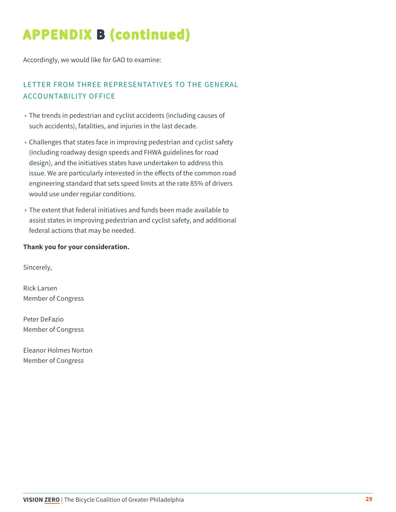# **APPENDIX B (continued)**

Accordingly, we would like for GAO to examine:

#### LETTER FROM THREE REPRESENTATIVES TO THE GENERAL ACCOUNTABILITY OFFICE

- The trends in pedestrian and cyclist accidents (including causes of such accidents), fatalities, and injuries in the last decade.
- Challenges that states face in improving pedestrian and cyclist safety (including roadway design speeds and FHWA guidelines for road design), and the initiatives states have undertaken to address this issue. We are particularly interested in the effects of the common road engineering standard that sets speed limits at the rate 85% of drivers would use under regular conditions.
- The extent that federal initiatives and funds been made available to assist states in improving pedestrian and cyclist safety, and additional federal actions that may be needed.

#### **Thank you for your consideration.**

Sincerely,

Rick Larsen Member of Congress

Peter DeFazio Member of Congress

Eleanor Holmes Norton Member of Congress